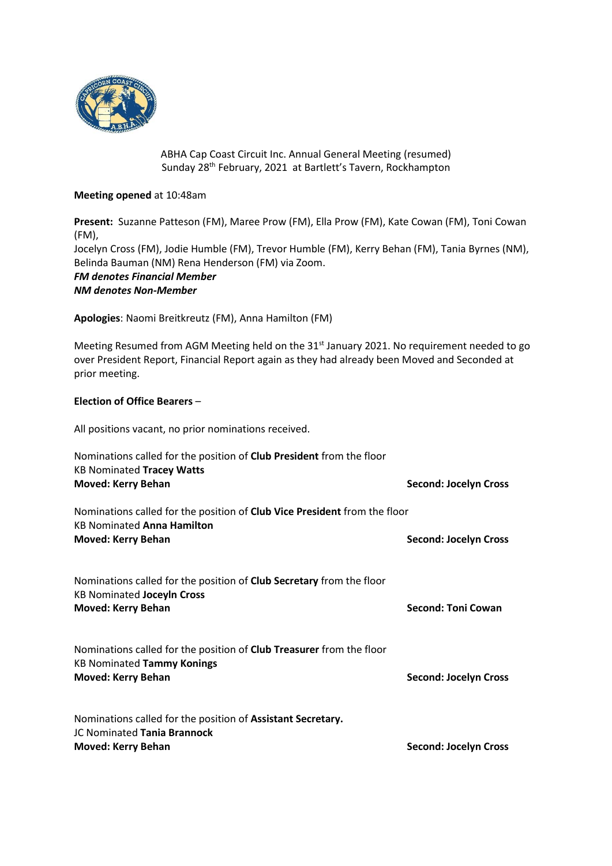

ABHA Cap Coast Circuit Inc. Annual General Meeting (resumed) Sunday 28th February, 2021 at Bartlett's Tavern, Rockhampton

# **Meeting opened** at 10:48am

**Present:** Suzanne Patteson (FM), Maree Prow (FM), Ella Prow (FM), Kate Cowan (FM), Toni Cowan (FM),

Jocelyn Cross (FM), Jodie Humble (FM), Trevor Humble (FM), Kerry Behan (FM), Tania Byrnes (NM), Belinda Bauman (NM) Rena Henderson (FM) via Zoom.

# *FM denotes Financial Member*

*NM denotes Non-Member*

**Apologies**: Naomi Breitkreutz (FM), Anna Hamilton (FM)

Meeting Resumed from AGM Meeting held on the 31<sup>st</sup> January 2021. No requirement needed to go over President Report, Financial Report again as they had already been Moved and Seconded at prior meeting.

# **Election of Office Bearers** –

All positions vacant, no prior nominations received.

| Nominations called for the position of <b>Club President</b> from the floor<br><b>KB Nominated Tracey Watts</b>                                    |                              |
|----------------------------------------------------------------------------------------------------------------------------------------------------|------------------------------|
| <b>Moved: Kerry Behan</b>                                                                                                                          | <b>Second: Jocelyn Cross</b> |
| Nominations called for the position of <b>Club Vice President</b> from the floor<br><b>KB Nominated Anna Hamilton</b><br><b>Moved: Kerry Behan</b> | <b>Second: Jocelyn Cross</b> |
| Nominations called for the position of <b>Club Secretary</b> from the floor<br><b>KB Nominated Joceyln Cross</b><br><b>Moved: Kerry Behan</b>      | <b>Second: Toni Cowan</b>    |
| Nominations called for the position of <b>Club Treasurer</b> from the floor<br><b>KB Nominated Tammy Konings</b><br><b>Moved: Kerry Behan</b>      | <b>Second: Jocelyn Cross</b> |
| Nominations called for the position of Assistant Secretary.<br><b>JC Nominated Tania Brannock</b><br><b>Moved: Kerry Behan</b>                     | <b>Second: Jocelyn Cross</b> |